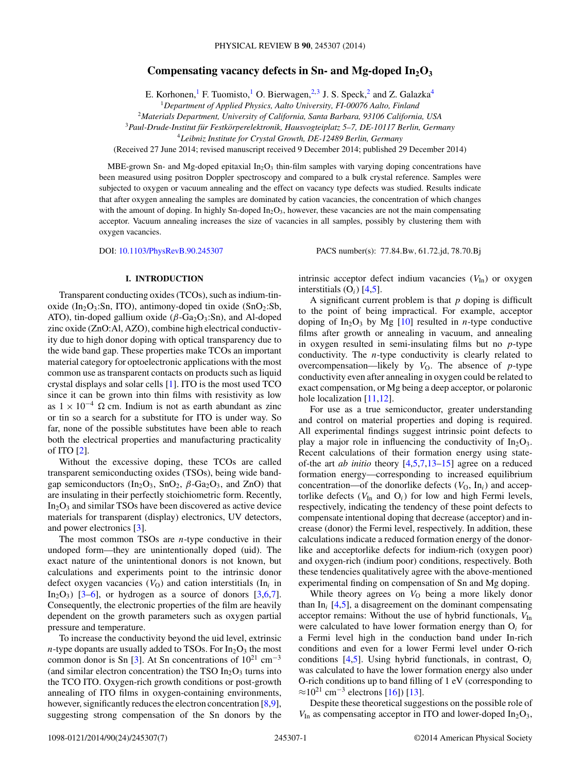# **Compensating vacancy defects in Sn- and Mg-doped In2O3**

E. Korhonen,<sup>1</sup> F. Tuomisto,<sup>1</sup> O. Bierwagen,<sup>2,3</sup> J. S. Speck,<sup>2</sup> and Z. Galazka<sup>4</sup>

<sup>1</sup>*Department of Applied Physics, Aalto University, FI-00076 Aalto, Finland*

<sup>2</sup>*Materials Department, University of California, Santa Barbara, 93106 California, USA*

<sup>3</sup>*Paul-Drude-Institut fur Festk ¨ orperelektronik, Hausvogteiplatz 5–7, DE-10117 Berlin, Germany ¨*

<sup>4</sup>*Leibniz Institute for Crystal Growth, DE-12489 Berlin, Germany*

(Received 27 June 2014; revised manuscript received 9 December 2014; published 29 December 2014)

MBE-grown Sn- and Mg-doped epitaxial  $In_2O_3$  thin-film samples with varying doping concentrations have been measured using positron Doppler spectroscopy and compared to a bulk crystal reference. Samples were subjected to oxygen or vacuum annealing and the effect on vacancy type defects was studied. Results indicate that after oxygen annealing the samples are dominated by cation vacancies, the concentration of which changes with the amount of doping. In highly Sn-doped  $In_2O_3$ , however, these vacancies are not the main compensating acceptor. Vacuum annealing increases the size of vacancies in all samples, possibly by clustering them with oxygen vacancies.

DOI: [10.1103/PhysRevB.90.245307](http://dx.doi.org/10.1103/PhysRevB.90.245307) PACS number(s): 77*.*84*.*Bw*,* 61*.*72*.*jd*,* 78*.*70*.*Bj

## **I. INTRODUCTION**

Transparent conducting oxides (TCOs), such as indium-tinoxide (In<sub>2</sub>O<sub>3</sub>:Sn, ITO), antimony-doped tin oxide (SnO<sub>2</sub>:Sb, ATO), tin-doped gallium oxide ( $\beta$ -Ga<sub>2</sub>O<sub>3</sub>:Sn), and Al-doped zinc oxide (ZnO:Al, AZO), combine high electrical conductivity due to high donor doping with optical transparency due to the wide band gap. These properties make TCOs an important material category for optoelectronic applications with the most common use as transparent contacts on products such as liquid crystal displays and solar cells [\[1\]](#page-6-0). ITO is the most used TCO since it can be grown into thin films with resistivity as low as  $1 \times 10^{-4}$  Ω cm. Indium is not as earth abundant as zinc or tin so a search for a substitute for ITO is under way. So far, none of the possible substitutes have been able to reach both the electrical properties and manufacturing practicality of ITO [\[2\]](#page-6-0).

Without the excessive doping, these TCOs are called transparent semiconducting oxides (TSOs), being wide bandgap semiconductors ( $In_2O_3$ ,  $SnO_2$ ,  $\beta$ - $Ga_2O_3$ , and ZnO) that are insulating in their perfectly stoichiometric form. Recently,  $In_2O_3$  and similar TSOs have been discovered as active device materials for transparent (display) electronics, UV detectors, and power electronics [\[3\]](#page-6-0).

The most common TSOs are *n*-type conductive in their undoped form—they are unintentionally doped (uid). The exact nature of the unintentional donors is not known, but calculations and experiments point to the intrinsic donor defect oxygen vacancies  $(V<sub>O</sub>)$  and cation interstitials (In<sub>i</sub> in In<sub>2</sub>O<sub>3</sub>) [\[3–6\]](#page-6-0), or hydrogen as a source of donors [\[3,6,7\]](#page-6-0). Consequently, the electronic properties of the film are heavily dependent on the growth parameters such as oxygen partial pressure and temperature.

To increase the conductivity beyond the uid level, extrinsic *n*-type dopants are usually added to TSOs. For  $In_2O_3$  the most common donor is Sn [\[3\]](#page-6-0). At Sn concentrations of  $10^{21}$  cm<sup>-3</sup> (and similar electron concentration) the TSO  $In_2O_3$  turns into the TCO ITO. Oxygen-rich growth conditions or post-growth annealing of ITO films in oxygen-containing environments, however, significantly reduces the electron concentration [\[8,9\]](#page-6-0), suggesting strong compensation of the Sn donors by the intrinsic acceptor defect indium vacancies ( $V_{\text{In}}$ ) or oxygen interstitials  $(O_i)$  [\[4,5\]](#page-6-0).

A significant current problem is that *p* doping is difficult to the point of being impractical. For example, acceptor doping of  $In_2O_3$  by Mg [\[10\]](#page-6-0) resulted in *n*-type conductive films after growth or annealing in vacuum, and annealing in oxygen resulted in semi-insulating films but no *p*-type conductivity. The *n*-type conductivity is clearly related to overcompensation—likely by  $V<sub>O</sub>$ . The absence of *p*-type conductivity even after annealing in oxygen could be related to exact compensation, or Mg being a deep acceptor, or polaronic hole localization [\[11,12\]](#page-6-0).

For use as a true semiconductor, greater understanding and control on material properties and doping is required. All experimental findings suggest intrinsic point defects to play a major role in influencing the conductivity of  $In_2O_3$ . Recent calculations of their formation energy using stateof-the art *ab initio* theory [\[4,5,7,13–15\]](#page-6-0) agree on a reduced formation energy—corresponding to increased equilibrium concentration—of the donorlike defects  $(V_0, \text{In}_i)$  and acceptorlike defects  $(V_{In}$  and  $O_i)$  for low and high Fermi levels, respectively, indicating the tendency of these point defects to compensate intentional doping that decrease (acceptor) and increase (donor) the Fermi level, respectively. In addition, these calculations indicate a reduced formation energy of the donorlike and acceptorlike defects for indium-rich (oxygen poor) and oxygen-rich (indium poor) conditions, respectively. Both these tendencies qualitatively agree with the above-mentioned experimental finding on compensation of Sn and Mg doping.

While theory agrees on  $V<sub>O</sub>$  being a more likely donor than  $In<sub>i</sub>$  [\[4,5\]](#page-6-0), a disagreement on the dominant compensating acceptor remains: Without the use of hybrid functionals,  $V_{In}$ were calculated to have lower formation energy than O*<sup>i</sup>* for a Fermi level high in the conduction band under In-rich conditions and even for a lower Fermi level under O-rich conditions [\[4,5\]](#page-6-0). Using hybrid functionals, in contrast, O*<sup>i</sup>* was calculated to have the lower formation energy also under O-rich conditions up to band filling of 1 eV (corresponding to  $≈10^{21}$  cm<sup>-3</sup> electrons [\[16\]](#page-6-0)) [\[13\]](#page-6-0).

Despite these theoretical suggestions on the possible role of  $V_{\text{In}}$  as compensating acceptor in ITO and lower-doped  $In_2O_3$ ,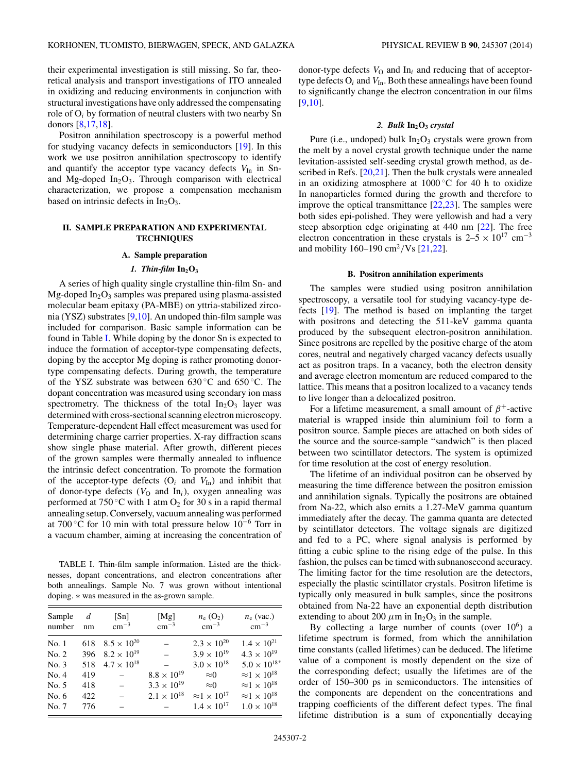<span id="page-1-0"></span>their experimental investigation is still missing. So far, theoretical analysis and transport investigations of ITO annealed in oxidizing and reducing environments in conjunction with structural investigations have only addressed the compensating role of O*<sup>i</sup>* by formation of neutral clusters with two nearby Sn donors [\[8,17,18\]](#page-6-0).

Positron annihilation spectroscopy is a powerful method for studying vacancy defects in semiconductors [\[19\]](#page-6-0). In this work we use positron annihilation spectroscopy to identify and quantify the acceptor type vacancy defects  $V_{In}$  in Snand Mg-doped  $In_2O_3$ . Through comparison with electrical characterization, we propose a compensation mechanism based on intrinsic defects in  $In<sub>2</sub>O<sub>3</sub>$ .

# **II. SAMPLE PREPARATION AND EXPERIMENTAL TECHNIQUES**

#### **A. Sample preparation**

# 1. Thin-film  $In_2O_3$

A series of high quality single crystalline thin-film Sn- and Mg-doped  $In_2O_3$  samples was prepared using plasma-assisted molecular beam epitaxy (PA-MBE) on yttria-stabilized zirconia (YSZ) substrates [\[9,10\]](#page-6-0). An undoped thin-film sample was included for comparison. Basic sample information can be found in Table I. While doping by the donor Sn is expected to induce the formation of acceptor-type compensating defects, doping by the acceptor Mg doping is rather promoting donortype compensating defects. During growth, the temperature of the YSZ substrate was between 630 ◦C and 650 ◦C. The dopant concentration was measured using secondary ion mass spectrometry. The thickness of the total  $In_2O_3$  layer was determined with cross-sectional scanning electron microscopy. Temperature-dependent Hall effect measurement was used for determining charge carrier properties. X-ray diffraction scans show single phase material. After growth, different pieces of the grown samples were thermally annealed to influence the intrinsic defect concentration. To promote the formation of the acceptor-type defects  $(O_i \text{ and } V_{In})$  and inhibit that of donor-type defects  $(V<sub>O</sub>$  and  $In<sub>i</sub>$ ), oxygen annealing was performed at 750 °C with 1 atm  $O_2$  for 30 s in a rapid thermal annealing setup. Conversely, vacuum annealing was performed at 700 ◦C for 10 min with total pressure below 10−<sup>6</sup> Torr in a vacuum chamber, aiming at increasing the concentration of

TABLE I. Thin-film sample information. Listed are the thicknesses, dopant concentrations, and electron concentrations after both annealings. Sample No. 7 was grown without intentional doping. ∗ was measured in the as-grown sample.

| Sample<br>number | $d_{-}$<br>nm | [Sn]<br>$\rm cm^{-3}$    | [ $Mg$ ]<br>$\rm cm^{-3}$ | $n_e (O_2)$<br>$\rm cm^{-3}$   | $n_e$ (vac.)<br>$\rm cm^{-3}$  |
|------------------|---------------|--------------------------|---------------------------|--------------------------------|--------------------------------|
| No.1             | 618           | $8.5 \times 10^{20}$     | $\qquad \qquad -$         | $2.3 \times 10^{20}$           | $1.4 \times 10^{21}$           |
| No. 2            | 396           | $8.2 \times 10^{19}$     | $\sim$                    | $3.9 \times 10^{19}$           | $4.3 \times 10^{19}$           |
| No. 3            |               | 518 $4.7 \times 10^{18}$ |                           | $3.0 \times 10^{18}$           | $5.0\times10^{18*}$            |
| No. 4            | 419           | $\sim$                   | $8.8 \times 10^{19}$      | $\approx$ 0                    | $\approx$ 1 × 10 <sup>18</sup> |
| No. 5            | 418           |                          | $3.3 \times 10^{19}$      | $\approx 0$                    | $\approx$ 1 × 10 <sup>18</sup> |
| No. $6$          | 422           | $\equiv$                 | $2.1 \times 10^{18}$      | $\approx$ 1 × 10 <sup>17</sup> | $\approx$ 1 × 10 <sup>18</sup> |
| No. 7            | 776           |                          |                           | $1.4 \times 10^{17}$           | $1.0 \times 10^{18}$           |

donor-type defects  $V_0$  and  $\text{In}_i$  and reducing that of acceptortype defects  $O_i$  and  $V_{In}$ . Both these annealings have been found to significantly change the electron concentration in our films [\[9,10\]](#page-6-0).

## *2. Bulk* **In2O3** *crystal*

Pure (i.e., undoped) bulk  $In_2O_3$  crystals were grown from the melt by a novel crystal growth technique under the name levitation-assisted self-seeding crystal growth method, as described in Refs. [\[20,21\]](#page-6-0). Then the bulk crystals were annealed in an oxidizing atmosphere at  $1000\degree$ C for 40 h to oxidize In nanoparticles formed during the growth and therefore to improve the optical transmittance [\[22,23\]](#page-6-0). The samples were both sides epi-polished. They were yellowish and had a very steep absorption edge originating at 440 nm [\[22\]](#page-6-0). The free electron concentration in these crystals is  $2-5 \times 10^{17}$  cm<sup>-3</sup> and mobility 160–190 cm<sup>2</sup>/Vs [\[21,22\]](#page-6-0).

## **B. Positron annihilation experiments**

The samples were studied using positron annihilation spectroscopy, a versatile tool for studying vacancy-type defects [\[19\]](#page-6-0). The method is based on implanting the target with positrons and detecting the 511-keV gamma quanta produced by the subsequent electron-positron annihilation. Since positrons are repelled by the positive charge of the atom cores, neutral and negatively charged vacancy defects usually act as positron traps. In a vacancy, both the electron density and average electron momentum are reduced compared to the lattice. This means that a positron localized to a vacancy tends to live longer than a delocalized positron.

For a lifetime measurement, a small amount of *β*+-active material is wrapped inside thin aluminium foil to form a positron source. Sample pieces are attached on both sides of the source and the source-sample "sandwich" is then placed between two scintillator detectors. The system is optimized for time resolution at the cost of energy resolution.

The lifetime of an individual positron can be observed by measuring the time difference between the positron emission and annihilation signals. Typically the positrons are obtained from Na-22, which also emits a 1.27-MeV gamma quantum immediately after the decay. The gamma quanta are detected by scintillator detectors. The voltage signals are digitized and fed to a PC, where signal analysis is performed by fitting a cubic spline to the rising edge of the pulse. In this fashion, the pulses can be timed with subnanosecond accuracy. The limiting factor for the time resolution are the detectors, especially the plastic scintillator crystals. Positron lifetime is typically only measured in bulk samples, since the positrons obtained from Na-22 have an exponential depth distribution extending to about 200  $\mu$ m in In<sub>2</sub>O<sub>3</sub> in the sample.

By collecting a large number of counts (over  $10^6$ ) a lifetime spectrum is formed, from which the annihilation time constants (called lifetimes) can be deduced. The lifetime value of a component is mostly dependent on the size of the corresponding defect; usually the lifetimes are of the order of 150–300 ps in semiconductors. The intensities of the components are dependent on the concentrations and trapping coefficients of the different defect types. The final lifetime distribution is a sum of exponentially decaying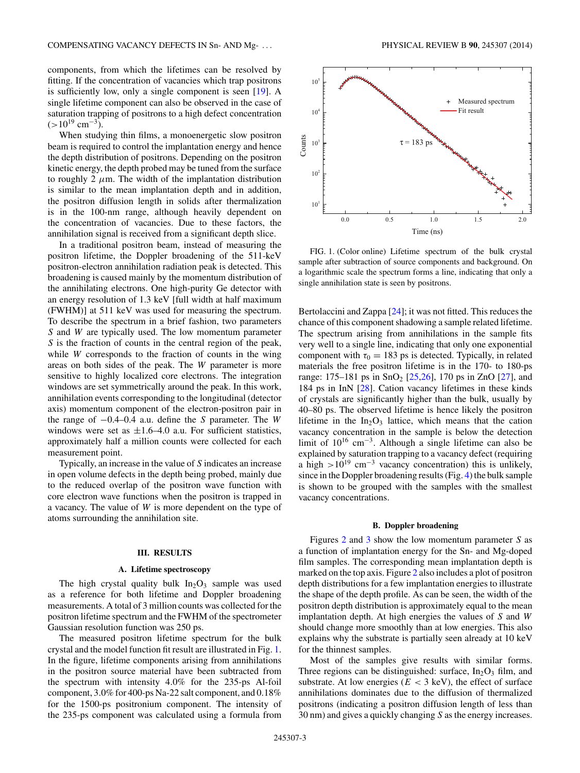components, from which the lifetimes can be resolved by fitting. If the concentration of vacancies which trap positrons is sufficiently low, only a single component is seen [\[19\]](#page-6-0). A single lifetime component can also be observed in the case of saturation trapping of positrons to a high defect concentration  $(>10^{19}$  cm<sup>-3</sup>).

When studying thin films, a monoenergetic slow positron beam is required to control the implantation energy and hence the depth distribution of positrons. Depending on the positron kinetic energy, the depth probed may be tuned from the surface to roughly 2  $\mu$ m. The width of the implantation distribution is similar to the mean implantation depth and in addition, the positron diffusion length in solids after thermalization is in the 100-nm range, although heavily dependent on the concentration of vacancies. Due to these factors, the annihilation signal is received from a significant depth slice.

In a traditional positron beam, instead of measuring the positron lifetime, the Doppler broadening of the 511-keV positron-electron annihilation radiation peak is detected. This broadening is caused mainly by the momentum distribution of the annihilating electrons. One high-purity Ge detector with an energy resolution of 1.3 keV [full width at half maximum (FWHM)] at 511 keV was used for measuring the spectrum. To describe the spectrum in a brief fashion, two parameters *S* and *W* are typically used. The low momentum parameter *S* is the fraction of counts in the central region of the peak, while *W* corresponds to the fraction of counts in the wing areas on both sides of the peak. The *W* parameter is more sensitive to highly localized core electrons. The integration windows are set symmetrically around the peak. In this work, annihilation events corresponding to the longitudinal (detector axis) momentum component of the electron-positron pair in the range of −0.4–0.4 a.u. define the *S* parameter. The *W* windows were set as  $\pm 1.6-4.0$  a.u. For sufficient statistics, approximately half a million counts were collected for each measurement point.

Typically, an increase in the value of *S* indicates an increase in open volume defects in the depth being probed, mainly due to the reduced overlap of the positron wave function with core electron wave functions when the positron is trapped in a vacancy. The value of *W* is more dependent on the type of atoms surrounding the annihilation site.

## **III. RESULTS**

#### **A. Lifetime spectroscopy**

The high crystal quality bulk  $In<sub>2</sub>O<sub>3</sub>$  sample was used as a reference for both lifetime and Doppler broadening measurements. A total of 3 million counts was collected for the positron lifetime spectrum and the FWHM of the spectrometer Gaussian resolution function was 250 ps.

The measured positron lifetime spectrum for the bulk crystal and the model function fit result are illustrated in Fig. 1. In the figure, lifetime components arising from annihilations in the positron source material have been subtracted from the spectrum with intensity 4*.*0% for the 235-ps Al-foil component, 3*.*0% for 400-ps Na-22 salt component, and 0*.*18% for the 1500-ps positronium component. The intensity of the 235-ps component was calculated using a formula from



FIG. 1. (Color online) Lifetime spectrum of the bulk crystal sample after subtraction of source components and background. On a logarithmic scale the spectrum forms a line, indicating that only a single annihilation state is seen by positrons.

Bertolaccini and Zappa [\[24\]](#page-6-0); it was not fitted. This reduces the chance of this component shadowing a sample related lifetime. The spectrum arising from annihilations in the sample fits very well to a single line, indicating that only one exponential component with  $\tau_0 = 183$  ps is detected. Typically, in related materials the free positron lifetime is in the 170- to 180-ps range: 175–181 ps in  $SnO<sub>2</sub>$  [\[25,26\]](#page-6-0), 170 ps in ZnO [\[27\]](#page-6-0), and 184 ps in InN [\[28\]](#page-6-0). Cation vacancy lifetimes in these kinds of crystals are significantly higher than the bulk, usually by 40–80 ps. The observed lifetime is hence likely the positron lifetime in the  $In_2O_3$  lattice, which means that the cation vacancy concentration in the sample is below the detection limit of 1016 cm−3. Although a single lifetime can also be explained by saturation trapping to a vacancy defect (requiring a high  $>10^{19}$  cm<sup>-3</sup> vacancy concentration) this is unlikely, since in the Doppler broadening results (Fig. [4\)](#page-4-0) the bulk sample is shown to be grouped with the samples with the smallest vacancy concentrations.

#### **B. Doppler broadening**

Figures [2](#page-3-0) and [3](#page-3-0) show the low momentum parameter *S* as a function of implantation energy for the Sn- and Mg-doped film samples. The corresponding mean implantation depth is marked on the top axis. Figure [2](#page-3-0) also includes a plot of positron depth distributions for a few implantation energies to illustrate the shape of the depth profile. As can be seen, the width of the positron depth distribution is approximately equal to the mean implantation depth. At high energies the values of *S* and *W* should change more smoothly than at low energies. This also explains why the substrate is partially seen already at 10 keV for the thinnest samples.

Most of the samples give results with similar forms. Three regions can be distinguished: surface,  $In_2O_3$  film, and substrate. At low energies  $(E < 3 \text{ keV})$ , the effect of surface annihilations dominates due to the diffusion of thermalized positrons (indicating a positron diffusion length of less than 30 nm) and gives a quickly changing *S* as the energy increases.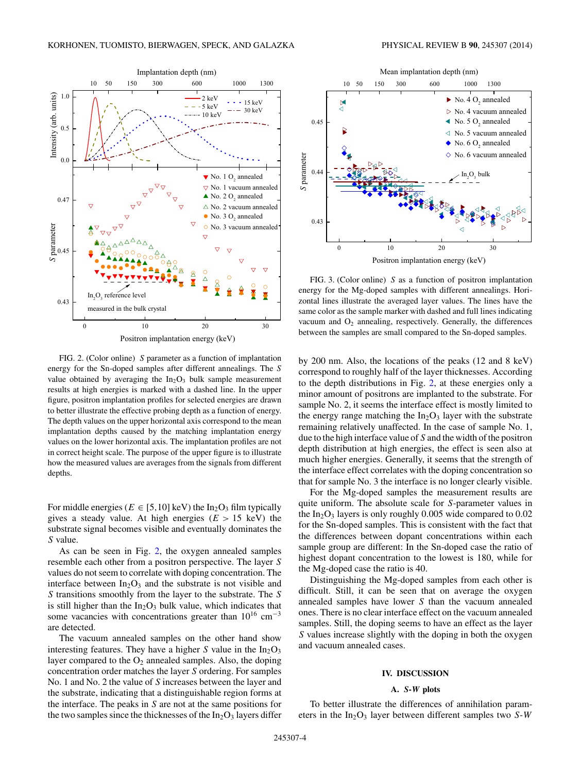<span id="page-3-0"></span>

FIG. 2. (Color online) *S* parameter as a function of implantation energy for the Sn-doped samples after different annealings. The *S* value obtained by averaging the  $In<sub>2</sub>O<sub>3</sub>$  bulk sample measurement results at high energies is marked with a dashed line. In the upper figure, positron implantation profiles for selected energies are drawn to better illustrate the effective probing depth as a function of energy. The depth values on the upper horizontal axis correspond to the mean implantation depths caused by the matching implantation energy values on the lower horizontal axis. The implantation profiles are not in correct height scale. The purpose of the upper figure is to illustrate how the measured values are averages from the signals from different depths.

For middle energies ( $E \in [5, 10]$  keV) the In<sub>2</sub>O<sub>3</sub> film typically gives a steady value. At high energies  $(E > 15 \text{ keV})$  the substrate signal becomes visible and eventually dominates the *S* value.

As can be seen in Fig. 2, the oxygen annealed samples resemble each other from a positron perspective. The layer *S* values do not seem to correlate with doping concentration. The interface between  $In_2O_3$  and the substrate is not visible and *S* transitions smoothly from the layer to the substrate. The *S* is still higher than the  $In_2O_3$  bulk value, which indicates that some vacancies with concentrations greater than  $10^{16}$  cm<sup>-3</sup> are detected.

The vacuum annealed samples on the other hand show interesting features. They have a higher  $S$  value in the  $In<sub>2</sub>O<sub>3</sub>$ layer compared to the  $O_2$  annealed samples. Also, the doping concentration order matches the layer *S* ordering. For samples No. 1 and No. 2 the value of *S* increases between the layer and the substrate, indicating that a distinguishable region forms at the interface. The peaks in *S* are not at the same positions for the two samples since the thicknesses of the  $In_2O_3$  layers differ



FIG. 3. (Color online) *S* as a function of positron implantation energy for the Mg-doped samples with different annealings. Horizontal lines illustrate the averaged layer values. The lines have the same color as the sample marker with dashed and full lines indicating vacuum and  $O_2$  annealing, respectively. Generally, the differences between the samples are small compared to the Sn-doped samples.

by 200 nm. Also, the locations of the peaks (12 and 8 keV) correspond to roughly half of the layer thicknesses. According to the depth distributions in Fig. 2, at these energies only a minor amount of positrons are implanted to the substrate. For sample No. 2, it seems the interface effect is mostly limited to the energy range matching the  $In_2O_3$  layer with the substrate remaining relatively unaffected. In the case of sample No. 1, due to the high interface value of *S* and the width of the positron depth distribution at high energies, the effect is seen also at much higher energies. Generally, it seems that the strength of the interface effect correlates with the doping concentration so that for sample No. 3 the interface is no longer clearly visible.

For the Mg-doped samples the measurement results are quite uniform. The absolute scale for *S*-parameter values in the In2O3 layers is only roughly 0*.*005 wide compared to 0*.*02 for the Sn-doped samples. This is consistent with the fact that the differences between dopant concentrations within each sample group are different: In the Sn-doped case the ratio of highest dopant concentration to the lowest is 180, while for the Mg-doped case the ratio is 40.

Distinguishing the Mg-doped samples from each other is difficult. Still, it can be seen that on average the oxygen annealed samples have lower *S* than the vacuum annealed ones. There is no clear interface effect on the vacuum annealed samples. Still, the doping seems to have an effect as the layer *S* values increase slightly with the doping in both the oxygen and vacuum annealed cases.

## **IV. DISCUSSION**

# **A.** *S***-***W* **plots**

To better illustrate the differences of annihilation parameters in the In<sub>2</sub>O<sub>3</sub> layer between different samples two *S*-*W*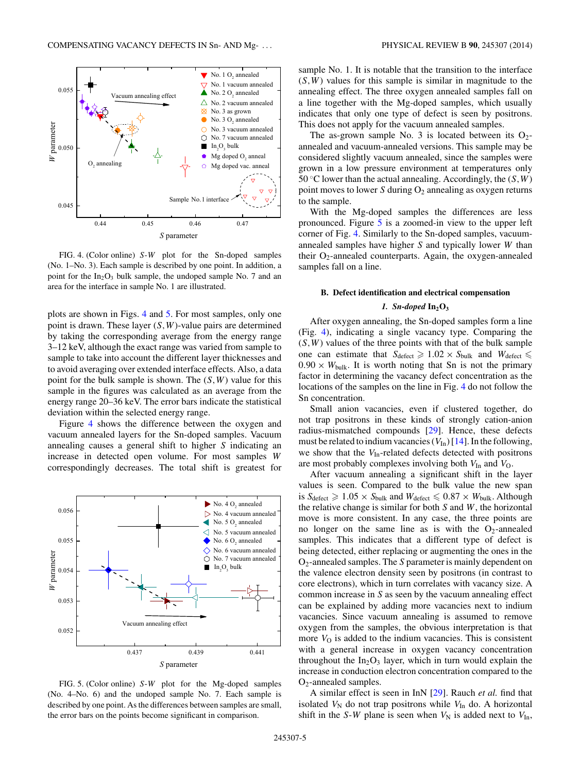<span id="page-4-0"></span>

FIG. 4. (Color online) *S*-*W* plot for the Sn-doped samples (No. 1–No. 3). Each sample is described by one point. In addition, a point for the  $In_2O_3$  bulk sample, the undoped sample No. 7 and an area for the interface in sample No. 1 are illustrated.

plots are shown in Figs. 4 and 5. For most samples, only one point is drawn. These layer (*S,W*)-value pairs are determined by taking the corresponding average from the energy range 3–12 keV, although the exact range was varied from sample to sample to take into account the different layer thicknesses and to avoid averaging over extended interface effects. Also, a data point for the bulk sample is shown. The (*S,W*) value for this sample in the figures was calculated as an average from the energy range 20–36 keV. The error bars indicate the statistical deviation within the selected energy range.

Figure 4 shows the difference between the oxygen and vacuum annealed layers for the Sn-doped samples. Vacuum annealing causes a general shift to higher *S* indicating an increase in detected open volume. For most samples *W* correspondingly decreases. The total shift is greatest for



FIG. 5. (Color online) *S*-*W* plot for the Mg-doped samples (No. 4–No. 6) and the undoped sample No. 7. Each sample is described by one point. As the differences between samples are small, the error bars on the points become significant in comparison.

sample No. 1. It is notable that the transition to the interface (*S,W*) values for this sample is similar in magnitude to the annealing effect. The three oxygen annealed samples fall on a line together with the Mg-doped samples, which usually indicates that only one type of defect is seen by positrons. This does not apply for the vacuum annealed samples.

The as-grown sample No. 3 is located between its  $O_2$ annealed and vacuum-annealed versions. This sample may be considered slightly vacuum annealed, since the samples were grown in a low pressure environment at temperatures only 50 °C lower than the actual annealing. Accordingly, the  $(S, W)$ point moves to lower *S* during  $O_2$  annealing as oxygen returns to the sample.

With the Mg-doped samples the differences are less pronounced. Figure 5 is a zoomed-in view to the upper left corner of Fig. 4. Similarly to the Sn-doped samples, vacuumannealed samples have higher *S* and typically lower *W* than their  $O_2$ -annealed counterparts. Again, the oxygen-annealed samples fall on a line.

#### **B. Defect identification and electrical compensation**

## 1. Sn-doped  $In_2O_3$

After oxygen annealing, the Sn-doped samples form a line (Fig. 4), indicating a single vacancy type. Comparing the  $(S, W)$  values of the three points with that of the bulk sample one can estimate that  $S_{\text{defect}} \geq 1.02 \times S_{\text{bulk}}$  and  $W_{\text{defect}} \leq$  $0.90 \times W_{\text{bulk}}$ . It is worth noting that Sn is not the primary factor in determining the vacancy defect concentration as the locations of the samples on the line in Fig. 4 do not follow the Sn concentration.

Small anion vacancies, even if clustered together, do not trap positrons in these kinds of strongly cation-anion radius-mismatched compounds [\[29\]](#page-6-0). Hence, these defects must be related to indium vacancies  $(V_{In})$  [\[14\]](#page-6-0). In the following, we show that the  $V_{\text{In}}$ -related defects detected with positrons are most probably complexes involving both  $V_{\text{In}}$  and  $V_{\text{O}}$ .

After vacuum annealing a significant shift in the layer values is seen. Compared to the bulk value the new span is  $S_{\text{defect}} \geqslant 1.05 \times S_{\text{bulk}}$  and  $W_{\text{defect}} \leqslant 0.87 \times W_{\text{bulk}}$ . Although the relative change is similar for both *S* and *W*, the horizontal move is more consistent. In any case, the three points are no longer on the same line as is with the  $O_2$ -annealed samples. This indicates that a different type of defect is being detected, either replacing or augmenting the ones in the O2-annealed samples. The *S* parameter is mainly dependent on the valence electron density seen by positrons (in contrast to core electrons), which in turn correlates with vacancy size. A common increase in *S* as seen by the vacuum annealing effect can be explained by adding more vacancies next to indium vacancies. Since vacuum annealing is assumed to remove oxygen from the samples, the obvious interpretation is that more  $V<sub>O</sub>$  is added to the indium vacancies. This is consistent with a general increase in oxygen vacancy concentration throughout the  $In_2O_3$  layer, which in turn would explain the increase in conduction electron concentration compared to the O2-annealed samples.

A similar effect is seen in InN [\[29\]](#page-6-0). Rauch *et al.* find that isolated  $V_N$  do not trap positrons while  $V_{In}$  do. A horizontal shift in the *S*-*W* plane is seen when  $V_N$  is added next to  $V_{In}$ ,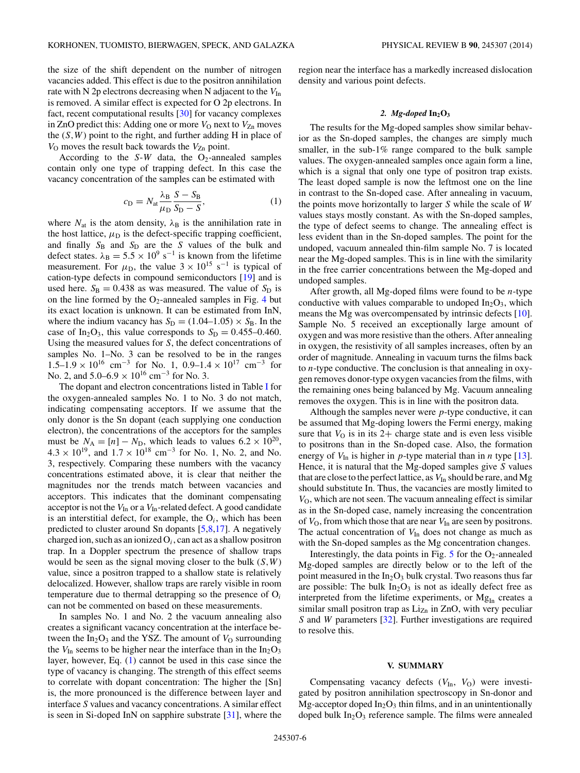the size of the shift dependent on the number of nitrogen vacancies added. This effect is due to the positron annihilation rate with N 2p electrons decreasing when N adjacent to the  $V_{\text{In}}$ is removed. A similar effect is expected for O 2p electrons. In fact, recent computational results [\[30\]](#page-6-0) for vacancy complexes in ZnO predict this: Adding one or more  $V<sub>O</sub>$  next to  $V<sub>Zn</sub>$  moves the  $(S, W)$  point to the right, and further adding H in place of  $V_{\text{O}}$  moves the result back towards the  $V_{\text{Zn}}$  point.

According to the  $S-W$  data, the O<sub>2</sub>-annealed samples contain only one type of trapping defect. In this case the vacancy concentration of the samples can be estimated with

$$
c_{\rm D} = N_{\rm at} \frac{\lambda_{\rm B}}{\mu_{\rm D}} \frac{S - S_{\rm B}}{S_{\rm D} - S},\tag{1}
$$

where  $N_{at}$  is the atom density,  $\lambda_B$  is the annihilation rate in the host lattice,  $\mu_D$  is the defect-specific trapping coefficient, and finally  $S_B$  and  $S_D$  are the *S* values of the bulk and defect states.  $\lambda_B = 5.5 \times 10^9 \text{ s}^{-1}$  is known from the lifetime measurement. For  $\mu_{\rm D}$ , the value  $3 \times 10^{15}$  s<sup>-1</sup> is typical of cation-type defects in compound semiconductors [\[19\]](#page-6-0) and is used here.  $S_B = 0.438$  as was measured. The value of  $S_D$  is on the line formed by the  $O_2$ -annealed samples in Fig. [4](#page-4-0) but its exact location is unknown. It can be estimated from InN, where the indium vacancy has  $S_D = (1.04-1.05) \times S_B$ . In the case of In<sub>2</sub>O<sub>3</sub>, this value corresponds to  $S_D = 0.455 - 0.460$ . Using the measured values for *S*, the defect concentrations of samples No. 1–No. 3 can be resolved to be in the ranges  $1.5-1.9 \times 10^{16}$  cm<sup>-3</sup> for No. 1, 0.9–1.4 × 10<sup>17</sup> cm<sup>-3</sup> for No. 2, and 5*.*0–6*.*<sup>9</sup> <sup>×</sup> 1016 cm−<sup>3</sup> for No. 3.

The dopant and electron concentrations listed in Table [I](#page-1-0) for the oxygen-annealed samples No. 1 to No. 3 do not match, indicating compensating acceptors. If we assume that the only donor is the Sn dopant (each supplying one conduction electron), the concentrations of the acceptors for the samples must be  $N_A = [n] - N_D$ , which leads to values  $6.2 \times 10^{20}$ ,  $4.3 \times 10^{19}$ , and  $1.7 \times 10^{18}$  cm<sup>-3</sup> for No. 1, No. 2, and No. 3, respectively. Comparing these numbers with the vacancy concentrations estimated above, it is clear that neither the magnitudes nor the trends match between vacancies and acceptors. This indicates that the dominant compensating acceptor is not the  $V_{In}$  or a  $V_{In}$ -related defect. A good candidate is an interstitial defect, for example, the  $O_i$ , which has been predicted to cluster around Sn dopants [\[5,8,17\]](#page-6-0). A negatively charged ion, such as an ionized O*i*, can act as a shallow positron trap. In a Doppler spectrum the presence of shallow traps would be seen as the signal moving closer to the bulk (*S,W*) value, since a positron trapped to a shallow state is relatively delocalized. However, shallow traps are rarely visible in room temperature due to thermal detrapping so the presence of O*<sup>i</sup>* can not be commented on based on these measurements.

In samples No. 1 and No. 2 the vacuum annealing also creates a significant vacancy concentration at the interface between the  $In_2O_3$  and the YSZ. The amount of  $V<sub>O</sub>$  surrounding the  $V_{\text{In}}$  seems to be higher near the interface than in the  $In_2O_3$ layer, however, Eq. (1) cannot be used in this case since the type of vacancy is changing. The strength of this effect seems to correlate with dopant concentration: The higher the [Sn] is, the more pronounced is the difference between layer and interface *S* values and vacancy concentrations. A similar effect is seen in Si-doped InN on sapphire substrate [\[31\]](#page-6-0), where the region near the interface has a markedly increased dislocation density and various point defects.

# 2. *Mg-doped*  $In_2O_3$

The results for the Mg-doped samples show similar behavior as the Sn-doped samples, the changes are simply much smaller, in the sub-1% range compared to the bulk sample values. The oxygen-annealed samples once again form a line, which is a signal that only one type of positron trap exists. The least doped sample is now the leftmost one on the line in contrast to the Sn-doped case. After annealing in vacuum, the points move horizontally to larger *S* while the scale of *W* values stays mostly constant. As with the Sn-doped samples, the type of defect seems to change. The annealing effect is less evident than in the Sn-doped samples. The point for the undoped, vacuum annealed thin-film sample No. 7 is located near the Mg-doped samples. This is in line with the similarity in the free carrier concentrations between the Mg-doped and undoped samples.

After growth, all Mg-doped films were found to be *n*-type conductive with values comparable to undoped  $In_2O_3$ , which means the Mg was overcompensated by intrinsic defects [\[10\]](#page-6-0). Sample No. 5 received an exceptionally large amount of oxygen and was more resistive than the others. After annealing in oxygen, the resistivity of all samples increases, often by an order of magnitude. Annealing in vacuum turns the films back to *n*-type conductive. The conclusion is that annealing in oxygen removes donor-type oxygen vacancies from the films, with the remaining ones being balanced by Mg. Vacuum annealing removes the oxygen. This is in line with the positron data.

Although the samples never were *p*-type conductive, it can be assumed that Mg-doping lowers the Fermi energy, making sure that  $V<sub>O</sub>$  is in its 2+ charge state and is even less visible to positrons than in the Sn-doped case. Also, the formation energy of  $V_{\text{In}}$  is higher in *p*-type material than in *n* type [\[13\]](#page-6-0). Hence, it is natural that the Mg-doped samples give *S* values that are close to the perfect lattice, as  $V_{In}$  should be rare, and Mg should substitute In. Thus, the vacancies are mostly limited to *V*<sub>O</sub>, which are not seen. The vacuum annealing effect is similar as in the Sn-doped case, namely increasing the concentration of *V*<sub>O</sub>, from which those that are near *V*<sub>In</sub> are seen by positrons. The actual concentration of  $V_{\text{In}}$  does not change as much as with the Sn-doped samples as the Mg concentration changes.

Interestingly, the data points in Fig.  $5$  for the O<sub>2</sub>-annealed Mg-doped samples are directly below or to the left of the point measured in the  $In_2O_3$  bulk crystal. Two reasons thus far are possible: The bulk  $In<sub>2</sub>O<sub>3</sub>$  is not as ideally defect free as interpreted from the lifetime experiments, or  $Mg_{In}$  creates a similar small positron trap as  $\rm{Li}_{Zn}$  in ZnO, with very peculiar *S* and *W* parameters [\[32\]](#page-6-0). Further investigations are required to resolve this.

## **V. SUMMARY**

Compensating vacancy defects  $(V_{In}, V_{O})$  were investigated by positron annihilation spectroscopy in Sn-donor and Mg-acceptor doped  $In_2O_3$  thin films, and in an unintentionally doped bulk  $In_2O_3$  reference sample. The films were annealed